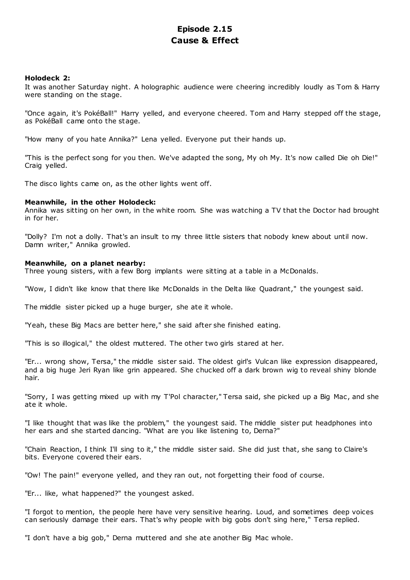# **Episode 2.15 Cause & Effect**

# **Holodeck 2:**

It was another Saturday night. A holographic audience were cheering incredibly loudly as Tom & Harry were standing on the stage.

"Once again, it's PokéBall!" Harry yelled, and everyone cheered. Tom and Harry stepped off the stage, as PokéBall came onto the stage.

"How many of you hate Annika?" Lena yelled. Everyone put their hands up.

"This is the perfect song for you then. We've adapted the song, My oh My. It's now called Die oh Die!" Craig yelled.

The disco lights came on, as the other lights went off.

# **Meanwhile, in the other Holodeck:**

Annika was sitting on her own, in the white room. She was watching a TV that the Doctor had brought in for her.

"Dolly? I'm not a dolly. That's an insult to my three little sisters that nobody knew about until now. Damn writer," Annika growled.

# **Meanwhile, on a planet nearby:**

Three young sisters, with a few Borg implants were sitting at a table in a McDonalds.

"Wow, I didn't like know that there like McDonalds in the Delta like Quadrant," the youngest said.

The middle sister picked up a huge burger, she ate it whole.

"Yeah, these Big Macs are better here," she said after she finished eating.

"This is so illogical," the oldest muttered. The other two girls stared at her.

"Er... wrong show, Tersa," the middle sister said. The oldest girl's Vulcan like expression disappeared, and a big huge Jeri Ryan like grin appeared. She chucked off a dark brown wig to reveal shiny blonde hair.

"Sorry, I was getting mixed up with my T'Pol character," Tersa said, she picked up a Big Mac , and she ate it whole.

"I like thought that was like the problem," the youngest said. The middle sister put headphones into her ears and she started dancing. "What are you like listening to, Derna?"

"Chain Reaction, I think I'll sing to it," the middle sister said. She did just that, she sang to Claire's bits. Everyone covered their ears.

"Ow! The pain!" everyone yelled, and they ran out, not forgetting their food of course.

"Er... like, what happened?" the youngest asked.

"I forgot to mention, the people here have very sensitive hearing. Loud, and sometimes deep voices can seriously damage their ears. That's why people with big gobs don't sing here," Tersa replied.

"I don't have a big gob," Derna muttered and she ate another Big Mac whole.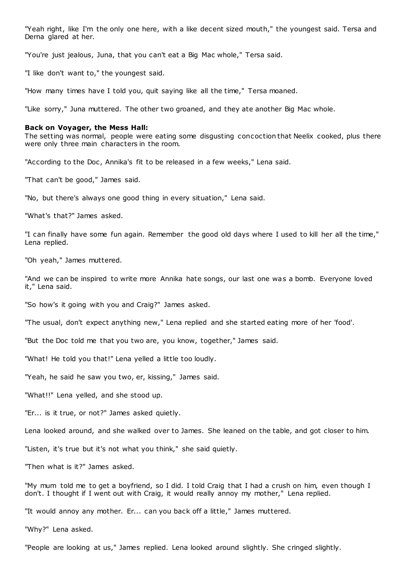"Yeah right, like I'm the only one here, with a like decent sized mouth," the youngest said. Tersa and Derna glared at her.

"You're just jealous, Juna, that you can't eat a Big Mac whole," Tersa said.

"I like don't want to," the youngest said.

"How many times have I told you, quit saying like all the time," Tersa moaned.

"Like sorry," Juna muttered. The other two groaned, and they ate another Big Mac whole.

#### **Back on Voyager, the Mess Hall:**

The setting was normal, people were eating some disgusting concoction that Neelix cooked, plus there were only three main characters in the room.

"According to the Doc, Annika's fit to be released in a few weeks," Lena said.

"That can't be good," James said.

"No, but there's always one good thing in every situation," Lena said.

"What's that?" James asked.

"I can finally have some fun again. Remember the good old days where I used to kill her all the time," Lena replied.

"Oh yeah," James muttered.

"And we can be inspired to write more Annika hate songs, our last one was a bomb. Everyone loved it," Lena said.

"So how's it going with you and Craig?" James asked.

"The usual, don't expect anything new," Lena replied and she started eating more of her 'food'.

"But the Doc told me that you two are, you know, together," James said.

"What! He told you that!" Lena yelled a little too loudly.

"Yeah, he said he saw you two, er, kissing," James said.

"What!!" Lena yelled, and she stood up.

"Er... is it true, or not?" James asked quietly.

Lena looked around, and she walked over to James. She leaned on the table, and got closer to him.

"Listen, it's true but it's not what you think," she said quietly.

"Then what is it?" James asked.

"My mum told me to get a boyfriend, so I did. I told Craig that I had a crush on him, even though I don't. I thought if I went out with Craig, it would really annoy my mother," Lena replied.

"It would annoy any mother. Er... can you back off a little," James muttered.

"Why?" Lena asked.

"People are looking at us," James replied. Lena looked around slightly. She cringed slightly.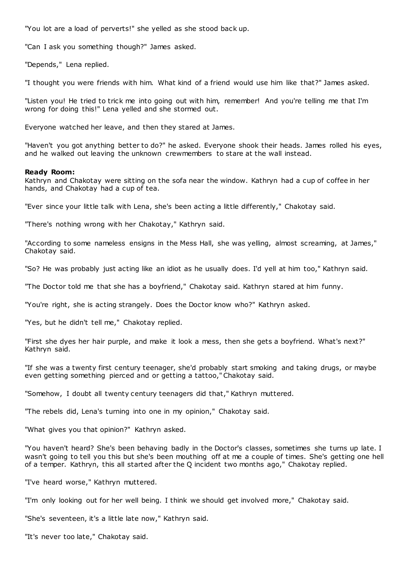"You lot are a load of perverts!" she yelled as she stood back up.

"Can I ask you something though?" James asked.

"Depends," Lena replied.

"I thought you were friends with him. What kind of a friend would use him like that?" James asked.

"Listen you! He tried to trick me into going out with him, remember! And you're telling me that I'm wrong for doing this!" Lena yelled and she stormed out.

Everyone watched her leave, and then they stared at James.

"Haven't you got anything better to do?" he asked. Everyone shook their heads. James rolled his eyes, and he walked out leaving the unknown crewmembers to stare at the wall instead.

#### **Ready Room:**

Kathryn and Chakotay were sitting on the sofa near the window. Kathryn had a cup of coffee in her hands, and Chakotay had a cup of tea.

"Ever since your little talk with Lena, she's been acting a little differently," Chakotay said.

"There's nothing wrong with her Chakotay," Kathryn said.

"According to some nameless ensigns in the Mess Hall, she was yelling, almost screaming, at James," Chakotay said.

"So? He was probably just acting like an idiot as he usually does. I'd yell at him too," Kathryn said.

"The Doctor told me that she has a boyfriend," Chakotay said. Kathryn stared at him funny.

"You're right, she is acting strangely. Does the Doctor know who?" Kathryn asked.

"Yes, but he didn't tell me," Chakotay replied.

"First she dyes her hair purple, and make it look a mess, then she gets a boyfriend. What's next?" Kathryn said.

"If she was a twenty first century teenager, she'd probably start smoking and taking drugs, or maybe even getting something pierced and or getting a tattoo," Chakotay said.

"Somehow, I doubt all twenty century teenagers did that," Kathryn muttered.

"The rebels did, Lena's turning into one in my opinion," Chakotay said.

"What gives you that opinion?" Kathryn asked.

"You haven't heard? She's been behaving badly in the Doctor's classes, sometimes she turns up late. I wasn't going to tell you this but she's been mouthing off at me a couple of times. She's getting one hell of a temper. Kathryn, this all started after the Q incident two months ago," Chakotay replied.

"I've heard worse," Kathryn muttered.

"I'm only looking out for her well being. I think we should get involved more," Chakotay said.

"She's seventeen, it's a little late now," Kathryn said.

"It's never too late," Chakotay said.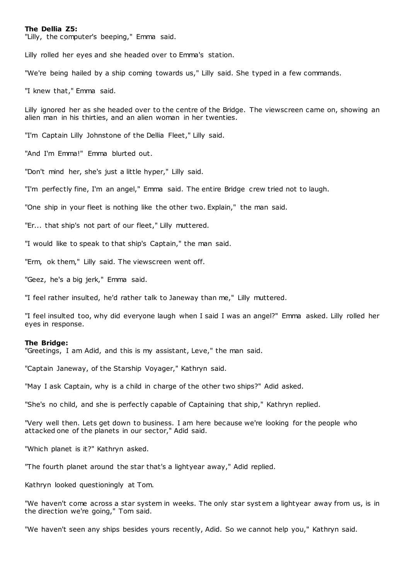## **The Dellia Z5:**

"Lilly, the computer's beeping," Emma said.

Lilly rolled her eyes and she headed over to Emma's station.

"We're being hailed by a ship coming towards us," Lilly said. She typed in a few commands.

"I knew that," Emma said.

Lilly ignored her as she headed over to the centre of the Bridge. The viewscreen came on, showing an alien man in his thirties, and an alien woman in her twenties.

"I'm Captain Lilly Johnstone of the Dellia Fleet," Lilly said.

"And I'm Emma!" Emma blurted out.

"Don't mind her, she's just a little hyper," Lilly said.

"I'm perfectly fine, I'm an angel," Emma said. The entire Bridge crew tried not to laugh.

"One ship in your fleet is nothing like the other two. Explain," the man said.

"Er... that ship's not part of our fleet," Lilly muttered.

"I would like to speak to that ship's Captain," the man said.

"Erm, ok them," Lilly said. The viewscreen went off.

"Geez, he's a big jerk," Emma said.

"I feel rather insulted, he'd rather talk to Janeway than me," Lilly muttered.

"I feel insulted too, why did everyone laugh when I said I was an angel?" Emma asked. Lilly rolled her eyes in response.

#### **The Bridge:**

"Greetings, I am Adid, and this is my assistant, Leve," the man said.

"Captain Janeway, of the Starship Voyager," Kathryn said.

"May I ask Captain, why is a child in charge of the other two ships?" Adid asked.

"She's no child, and she is perfectly capable of Captaining that ship," Kathryn replied.

"Very well then. Lets get down to business. I am here because we're looking for the people who attacked one of the planets in our sector," Adid said.

"Which planet is it?" Kathryn asked.

"The fourth planet around the star that's a lightyear away," Adid replied.

Kathryn looked questioningly at Tom.

"We haven't come across a star system in weeks. The only star syst em a lightyear away from us, is in the direction we're going," Tom said.

"We haven't seen any ships besides yours recently, Adid. So we cannot help you," Kathryn said.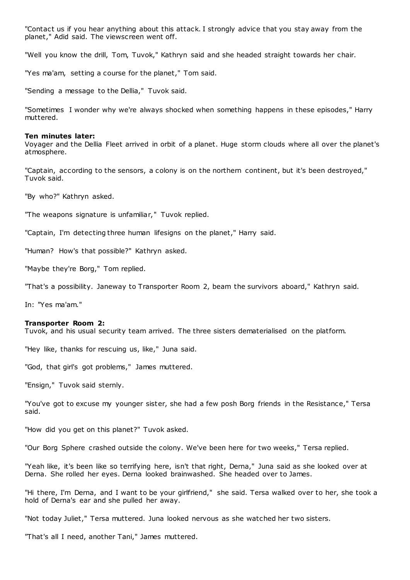"Contact us if you hear anything about this attack. I strongly advice that you stay away from the planet," Adid said. The viewscreen went off.

"Well you know the drill, Tom, Tuvok," Kathryn said and she headed straight towards her chair.

"Yes ma'am, setting a course for the planet," Tom said.

"Sending a message to the Dellia," Tuvok said.

"Sometimes I wonder why we're always shocked when something happens in these episodes," Harry muttered.

#### **Ten minutes later:**

Voyager and the Dellia Fleet arrived in orbit of a planet. Huge storm clouds where all over the planet's atmosphere.

"Captain, according to the sensors, a colony is on the northern continent, but it's been destroyed," Tuvok said.

"By who?" Kathryn asked.

"The weapons signature is unfamiliar," Tuvok replied.

"Captain, I'm detecting three human lifesigns on the planet," Harry said.

"Human? How's that possible?" Kathryn asked.

"Maybe they're Borg," Tom replied.

"That's a possibility. Janeway to Transporter Room 2, beam the survivors aboard," Kathryn said.

In: "Yes ma'am."

## **Transporter Room 2:**

Tuvok, and his usual security team arrived. The three sisters dematerialised on the platform.

"Hey like, thanks for rescuing us, like," Juna said.

"God, that girl's got problems," James muttered.

"Ensign," Tuvok said sternly.

"You've got to excuse my younger sister, she had a few posh Borg friends in the Resistance," Tersa said.

"How did you get on this planet?" Tuvok asked.

"Our Borg Sphere crashed outside the colony. We've been here for two weeks," Tersa replied.

"Yeah like, it's been like so terrifying here, isn't that right, Derna," Juna said as she looked over at Derna. She rolled her eyes. Derna looked brainwashed. She headed over to James.

"Hi there, I'm Derna, and I want to be your girlfriend," she said. Tersa walked over to her, she took a hold of Derna's ear and she pulled her away.

"Not today Juliet," Tersa muttered. Juna looked nervous as she watched her two sisters.

"That's all I need, another Tani," James muttered.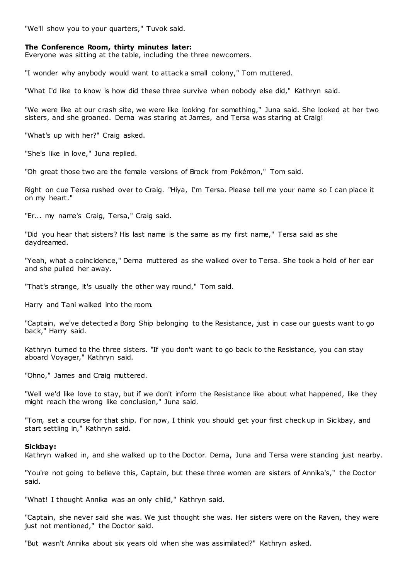"We'll show you to your quarters," Tuvok said.

# **The Conference Room, thirty minutes later:**

Everyone was sitting at the table, including the three newcomers.

"I wonder why anybody would want to attack a small colony," Tom muttered.

"What I'd like to know is how did these three survive when nobody else did," Kathryn said.

"We were like at our crash site, we were like looking for something," Juna said. She looked at her two sisters, and she groaned. Derna was staring at James, and Tersa was staring at Craig!

"What's up with her?" Craig asked.

"She's like in love," Juna replied.

"Oh great those two are the female versions of Brock from Pokémon," Tom said.

Right on cue Tersa rushed over to Craig. "Hiya, I'm Tersa. Please tell me your name so I can place it on my heart."

"Er... my name's Craig, Tersa," Craig said.

"Did you hear that sisters? His last name is the same as my first name," Tersa said as she daydreamed.

"Yeah, what a coincidence," Derna muttered as she walked over to Tersa. She took a hold of her ear and she pulled her away.

"That's strange, it's usually the other way round," Tom said.

Harry and Tani walked into the room.

"Captain, we've detected a Borg Ship belonging to the Resistance, just in case our guests want to go back," Harry said.

Kathryn turned to the three sisters. "If you don't want to go back to the Resistance, you can stay aboard Voyager," Kathryn said.

"Ohno," James and Craig muttered.

"Well we'd like love to stay, but if we don't inform the Resistance like about what happened, like they might reach the wrong like conclusion," Juna said.

"Tom, set a course for that ship. For now, I think you should get your first check up in Sickbay, and start settling in," Kathryn said.

#### **Sickbay:**

Kathryn walked in, and she walked up to the Doctor. Derna, Juna and Tersa were standing just nearby.

"You're not going to believe this, Captain, but these three women are sisters of Annika's," the Doctor said.

"What! I thought Annika was an only child," Kathryn said.

"Captain, she never said she was. We just thought she was. Her sisters were on the Raven, they were just not mentioned," the Doctor said.

"But wasn't Annika about six years old when she was assimilated?" Kathryn asked.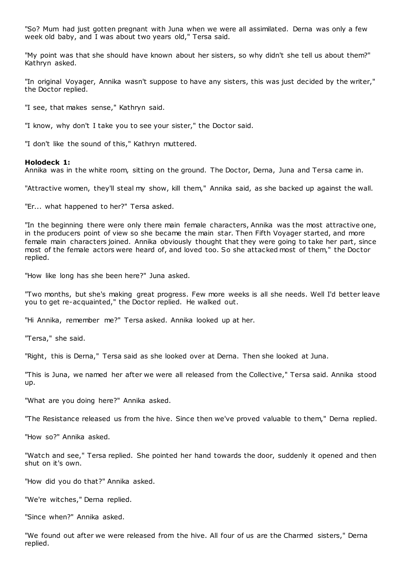"So? Mum had just gotten pregnant with Juna when we were all assimilated. Derna was only a few week old baby, and I was about two years old," Tersa said.

"My point was that she should have known about her sisters, so why didn't she tell us about them?" Kathryn asked.

"In original Voyager, Annika wasn't suppose to have any sisters, this was just decided by the writer," the Doctor replied.

"I see, that makes sense," Kathryn said.

"I know, why don't I take you to see your sister," the Doctor said.

"I don't like the sound of this," Kathryn muttered.

## **Holodeck 1:**

Annika was in the white room, sitting on the ground. The Doctor, Derna, Juna and Tersa came in.

"Attractive women, they'll steal my show, kill them," Annika said, as she backed up against the wall.

"Er... what happened to her?" Tersa asked.

"In the beginning there were only there main female characters, Annika was the most attractive one, in the producers point of view so she became the main star. Then Fifth Voyager started, and more female main characters joined. Annika obviously thought that they were going to take her part, since most of the female actors were heard of, and loved too. So she attacked most of them," the Doctor replied.

"How like long has she been here?" Juna asked.

"Two months, but she's making great progress. Few more weeks is all she needs. Well I'd better leave you to get re-acquainted," the Doctor replied. He walked out.

"Hi Annika, remember me?" Tersa asked. Annika looked up at her.

"Tersa," she said.

"Right, this is Derna," Tersa said as she looked over at Derna. Then she looked at Juna.

"This is Juna, we named her after we were all released from the Collective," Tersa said. Annika stood up.

"What are you doing here?" Annika asked.

"The Resistance released us from the hive. Since then we've proved valuable to them," Derna replied.

"How so?" Annika asked.

"Watch and see," Tersa replied. She pointed her hand towards the door, suddenly it opened and then shut on it's own.

"How did you do that?" Annika asked.

"We're witches," Derna replied.

"Since when?" Annika asked.

"We found out after we were released from the hive. All four of us are the Charmed sisters," Derna replied.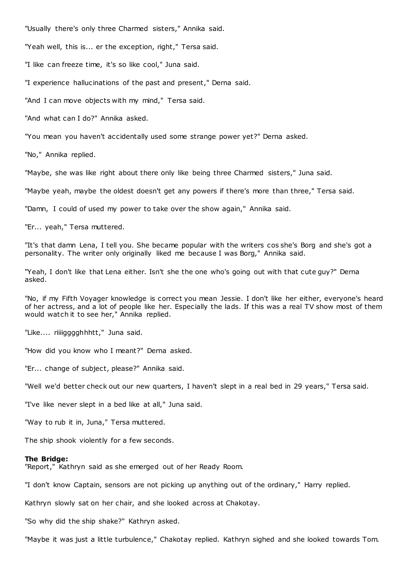"Usually there's only three Charmed sisters," Annika said.

"Yeah well, this is... er the exception, right," Tersa said.

"I like can freeze time, it's so like cool," Juna said.

"I experience hallucinations of the past and present," Derna said.

"And I can move objects with my mind," Tersa said.

"And what can I do?" Annika asked.

"You mean you haven't accidentally used some strange power yet?" Derna asked.

"No," Annika replied.

"Maybe, she was like right about there only like being three Charmed sisters," Juna said.

"Maybe yeah, maybe the oldest doesn't get any powers if there's more than three," Tersa said.

"Damn, I could of used my power to take over the show again," Annika said.

"Er... yeah," Tersa muttered.

"It's that damn Lena, I tell you. She became popular with the writers cos she's Borg and she's got a personality. The writer only originally liked me because I was Borg," Annika said.

"Yeah, I don't like that Lena either. Isn't she the one who's going out with that cute guy?" Derna asked.

"No, if my Fifth Voyager knowledge is correct you mean Jessie. I don't like her either, everyone's heard of her actress, and a lot of people like her. Especially the lads. If this was a real TV show most of them would watch it to see her," Annika replied.

"Like.... riiiigggghhhtt," Juna said.

"How did you know who I meant?" Derna asked.

"Er... change of subject, please?" Annika said.

"Well we'd better check out our new quarters, I haven't slept in a real bed in 29 years," Tersa said.

"I've like never slept in a bed like at all," Juna said.

"Way to rub it in, Juna," Tersa muttered.

The ship shook violently for a few seconds.

#### **The Bridge:**

"Report," Kathryn said as she emerged out of her Ready Room.

"I don't know Captain, sensors are not picking up anything out of the ordinary," Harry replied.

Kathryn slowly sat on her chair, and she looked across at Chakotay.

"So why did the ship shake?" Kathryn asked.

"Maybe it was just a little turbulence," Chakotay replied. Kathryn sighed and she looked towards Tom.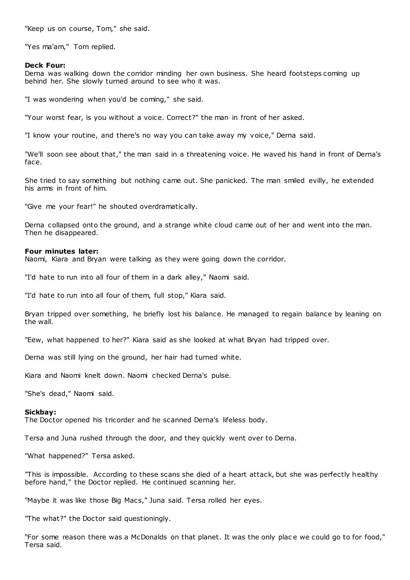"Keep us on course, Tom," she said.

"Yes ma'am," Tom replied.

## **Deck Four:**

Derna was walking down the corridor minding her own business. She heard footsteps coming up behind her. She slowly turned around to see who it was.

"I was wondering when you'd be coming," she said.

"Your worst fear, is you without a voice. Correct?" the man in front of her asked.

"I know your routine, and there's no way you can take away my voice," Derna said.

"We'll soon see about that," the man said in a threatening voice. He waved his hand in front of Derna's face.

She tried to say something but nothing came out. She panicked. The man smiled evilly, he extended his arms in front of him.

"Give me your fear!" he shouted overdramatically.

Derna collapsed onto the ground, and a strange white cloud came out of her and went into the man. Then he disappeared.

## **Four minutes later:**

Naomi, Kiara and Bryan were talking as they were going down the corridor.

"I'd hate to run into all four of them in a dark alley," Naomi said.

"I'd hate to run into all four of them, full stop," Kiara said.

Bryan tripped over something, he briefly lost his balance. He managed to regain balance by leaning on the wall.

"Eew, what happened to her?" Kiara said as she looked at what Bryan had tripped over.

Derna was still lying on the ground, her hair had turned white.

Kiara and Naomi knelt down. Naomi checked Derna's pulse.

"She's dead," Naomi said.

## **Sickbay:**

The Doctor opened his tricorder and he scanned Derna's lifeless body.

Tersa and Juna rushed through the door, and they quickly went over to Derna.

"What happened?" Tersa asked.

"This is impossible. According to these scans she died of a heart attack, but she was perfectly healthy before hand," the Doctor replied. He continued scanning her.

"Maybe it was like those Big Macs," Juna said. Tersa rolled her eyes.

"The what?" the Doctor said questioningly.

"For some reason there was a McDonalds on that planet. It was the only plac e we could go to for food," Tersa said.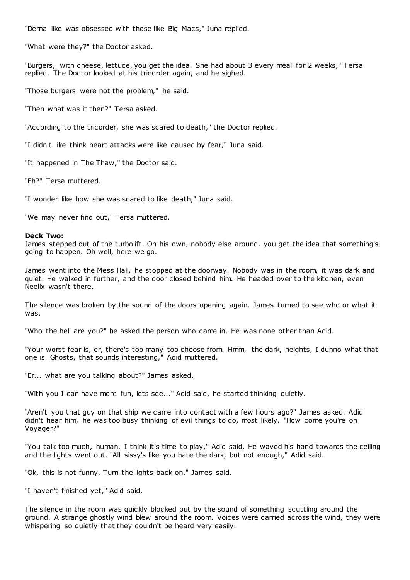"Derna like was obsessed with those like Big Macs," Juna replied.

"What were they?" the Doctor asked.

"Burgers, with cheese, lettuce, you get the idea. She had about 3 every meal for 2 weeks," Tersa replied. The Doctor looked at his tricorder again, and he sighed.

"Those burgers were not the problem," he said.

"Then what was it then?" Tersa asked.

"According to the tricorder, she was scared to death," the Doctor replied.

"I didn't like think heart attacks were like caused by fear," Juna said.

"It happened in The Thaw," the Doctor said.

"Eh?" Tersa muttered.

"I wonder like how she was scared to like death," Juna said.

"We may never find out," Tersa muttered.

# **Deck Two:**

James stepped out of the turbolift. On his own, nobody else around, you get the idea that something's going to happen. Oh well, here we go.

James went into the Mess Hall, he stopped at the doorway. Nobody was in the room, it was dark and quiet. He walked in further, and the door closed behind him. He headed over to the kitchen, even Neelix wasn't there.

The silence was broken by the sound of the doors opening again. James turned to see who or what it was.

"Who the hell are you?" he asked the person who came in. He was none other than Adid.

"Your worst fear is, er, there's too many too choose from. Hmm, the dark, heights, I dunno what that one is. Ghosts, that sounds interesting," Adid muttered.

"Er... what are you talking about?" James asked.

"With you I can have more fun, lets see..." Adid said, he started thinking quietly.

"Aren't you that guy on that ship we came into contact with a few hours ago?" James asked. Adid didn't hear him, he was too busy thinking of evil things to do, most likely. "How come you're on Voyager?"

"You talk too much, human. I think it's time to play," Adid said. He waved his hand towards the ceiling and the lights went out. "All sissy's like you hate the dark, but not enough," Adid said.

"Ok, this is not funny. Turn the lights back on," James said.

"I haven't finished yet," Adid said.

The silence in the room was quickly blocked out by the sound of something scuttling around the ground. A strange ghostly wind blew around the room. Voices were carried across the wind, they were whispering so quietly that they couldn't be heard very easily.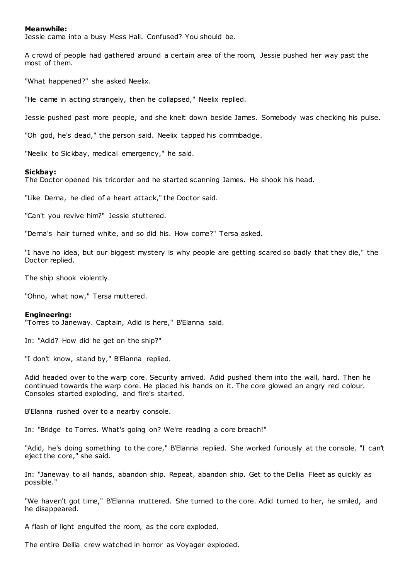# **Meanwhile:**

Jessie came into a busy Mess Hall. Confused? You should be.

A crowd of people had gathered around a certain area of the room, Jessie pushed her way past the most of them.

"What happened?" she asked Neelix.

"He came in acting strangely, then he collapsed," Neelix replied.

Jessie pushed past more people, and she knelt down beside James. Somebody was checking his pulse.

"Oh god, he's dead," the person said. Neelix tapped his commbadge.

"Neelix to Sickbay, medical emergency," he said.

## **Sickbay:**

The Doctor opened his tricorder and he started scanning James. He shook his head.

"Like Derna, he died of a heart attack," the Doctor said.

"Can't you revive him?" Jessie stuttered.

"Derna's hair turned white, and so did his. How come?" Tersa asked.

"I have no idea, but our biggest mystery is why people are getting scared so badly that they die," the Doctor replied.

The ship shook violently.

"Ohno, what now," Tersa muttered.

#### **Engineering:**

"Torres to Janeway. Captain, Adid is here," B'Elanna said.

In: "Adid? How did he get on the ship?"

"I don't know, stand by," B'Elanna replied.

Adid headed over to the warp core. Security arrived. Adid pushed them into the wall, hard. Then he continued towards the warp core. He placed his hands on it. The core glowed an angry red colour. Consoles started exploding, and fire's started.

B'Elanna rushed over to a nearby console.

In: "Bridge to Torres. What's going on? We're reading a core breach!"

"Adid, he's doing something to the core," B'Elanna replied. She worked furiously at the console. "I can't eject the core," she said.

In: "Janeway to all hands, abandon ship. Repeat, abandon ship. Get to the Dellia Fleet as quickly as possible."

"We haven't got time," B'Elanna muttered. She turned to the core. Adid turned to her, he smiled, and he disappeared.

A flash of light engulfed the room, as the core exploded.

The entire Dellia crew watched in horror as Voyager exploded.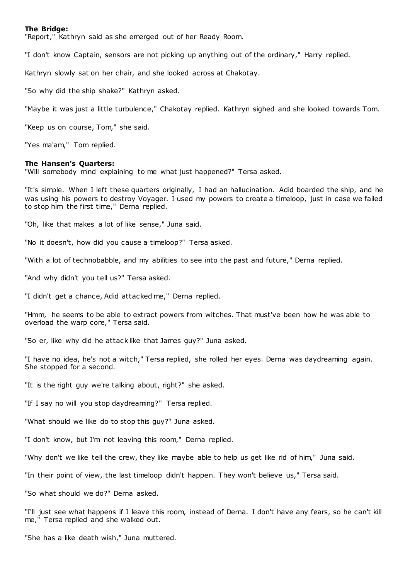## **The Bridge:**

"Report," Kathryn said as she emerged out of her Ready Room.

"I don't know Captain, sensors are not picking up anything out of the ordinary," Harry replied.

Kathryn slowly sat on her chair, and she looked across at Chakotay.

"So why did the ship shake?" Kathryn asked.

"Maybe it was just a little turbulence," Chakotay replied. Kathryn sighed and she looked towards Tom.

"Keep us on course, Tom," she said.

"Yes ma'am," Tom replied.

#### **The Hansen's Quarters:**

"Will somebody mind explaining to me what just happened?" Tersa asked.

"It's simple. When I left these quarters originally, I had an hallucination. Adid boarded the ship, and he was using his powers to destroy Voyager. I used my powers to create a timeloop, just in case we failed to stop him the first time," Derna replied.

"Oh, like that makes a lot of like sense," Juna said.

"No it doesn't, how did you cause a timeloop?" Tersa asked.

"With a lot of technobabble, and my abilities to see into the past and future," Derna replied.

"And why didn't you tell us?" Tersa asked.

"I didn't get a chance, Adid attacked me," Derna replied.

"Hmm, he seems to be able to extract powers from witches. That must've been how he was able to overload the warp core," Tersa said.

"So er, like why did he attack like that James guy?" Juna asked.

"I have no idea, he's not a witch," Tersa replied, she rolled her eyes. Derna was daydreaming again. She stopped for a second.

"It is the right guy we're talking about, right?" she asked.

"If I say no will you stop daydreaming?" Tersa replied.

"What should we like do to stop this guy?" Juna asked.

"I don't know, but I'm not leaving this room," Derna replied.

"Why don't we like tell the crew, they like maybe able to help us get like rid of him," Juna said.

"In their point of view, the last timeloop didn't happen. They won't believe us," Tersa said.

"So what should we do?" Derna asked.

"I'll just see what happens if I leave this room, instead of Derna. I don't have any fears, so he can't kill me," Tersa replied and she walked out.

"She has a like death wish," Juna muttered.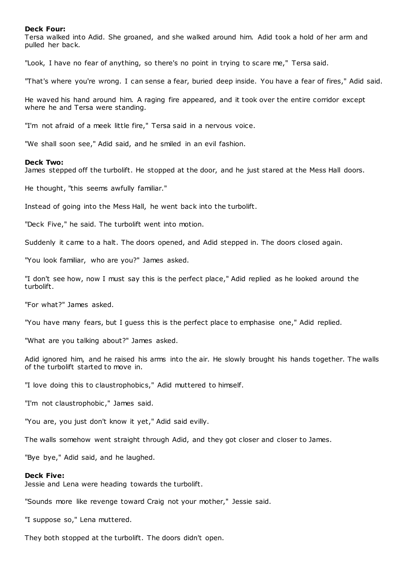#### **Deck Four:**

Tersa walked into Adid. She groaned, and she walked around him. Adid took a hold of her arm and pulled her back.

"Look, I have no fear of anything, so there's no point in trying to scare me," Tersa said.

"That's where you're wrong. I can sense a fear, buried deep inside. You have a fear of fires," Adid said.

He waved his hand around him. A raging fire appeared, and it took over the entire corridor except where he and Tersa were standing.

"I'm not afraid of a meek little fire," Tersa said in a nervous voice.

"We shall soon see," Adid said, and he smiled in an evil fashion.

## **Deck Two:**

James stepped off the turbolift. He stopped at the door, and he just stared at the Mess Hall doors.

He thought, "this seems awfully familiar."

Instead of going into the Mess Hall, he went back into the turbolift.

"Deck Five," he said. The turbolift went into motion.

Suddenly it came to a halt. The doors opened, and Adid stepped in. The doors closed again.

"You look familiar, who are you?" James asked.

"I don't see how, now I must say this is the perfect place," Adid replied as he looked around the turbolift.

"For what?" James asked.

"You have many fears, but I guess this is the perfect place to emphasise one," Adid replied.

"What are you talking about?" James asked.

Adid ignored him, and he raised his arms into the air. He slowly brought his hands together. The walls of the turbolift started to move in.

"I love doing this to claustrophobics," Adid muttered to himself.

"I'm not claustrophobic ," James said.

"You are, you just don't know it yet," Adid said evilly.

The walls somehow went straight through Adid, and they got closer and closer to James.

"Bye bye," Adid said, and he laughed.

#### **Deck Five:**

Jessie and Lena were heading towards the turbolift.

"Sounds more like revenge toward Craig not your mother," Jessie said.

"I suppose so," Lena muttered.

They both stopped at the turbolift. The doors didn't open.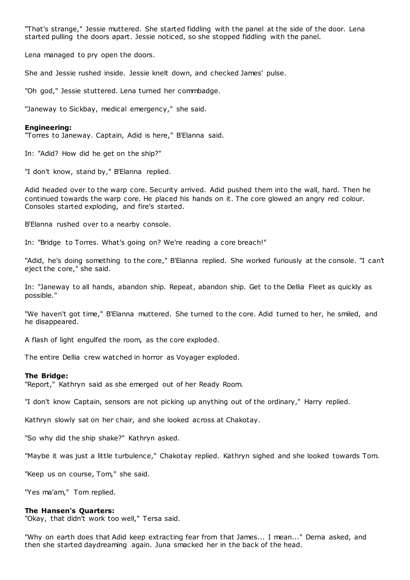"That's strange," Jessie muttered. She started fiddling with the panel at the side of the door. Lena started pulling the doors apart. Jessie noticed, so she stopped fiddling with the panel.

Lena managed to pry open the doors.

She and Jessie rushed inside. Jessie knelt down, and checked James' pulse.

"Oh god," Jessie stuttered. Lena turned her commbadge.

"Janeway to Sickbay, medical emergency," she said.

# **Engineering:**

"Torres to Janeway. Captain, Adid is here," B'Elanna said.

In: "Adid? How did he get on the ship?"

"I don't know, stand by," B'Elanna replied.

Adid headed over to the warp core. Security arrived. Adid pushed them into the wall, hard. Then he continued towards the warp core. He placed his hands on it. The core glowed an angry red colour. Consoles started exploding, and fire's started.

B'Elanna rushed over to a nearby console.

In: "Bridge to Torres. What's going on? We're reading a core breach!"

"Adid, he's doing something to the core," B'Elanna replied. She worked furiously at the console. "I can't eject the core," she said.

In: "Janeway to all hands, abandon ship. Repeat, abandon ship. Get to the Dellia Fleet as quickly as possible."

"We haven't got time," B'Elanna muttered. She turned to the core. Adid turned to her, he smiled, and he disappeared.

A flash of light engulfed the room, as the core exploded.

The entire Dellia crew watched in horror as Voyager exploded.

## **The Bridge:**

"Report," Kathryn said as she emerged out of her Ready Room.

"I don't know Captain, sensors are not picking up anything out of the ordinary," Harry replied.

Kathryn slowly sat on her chair, and she looked across at Chakotay.

"So why did the ship shake?" Kathryn asked.

"Maybe it was just a little turbulence," Chakotay replied. Kathryn sighed and she looked towards Tom.

"Keep us on course, Tom," she said.

"Yes ma'am," Tom replied.

## **The Hansen's Quarters:**

"Okay, that didn't work too well," Tersa said.

"Why on earth does that Adid keep extracting fear from that James... I mean..." Derna asked, and then she started daydreaming again. Juna smacked her in the back of the head.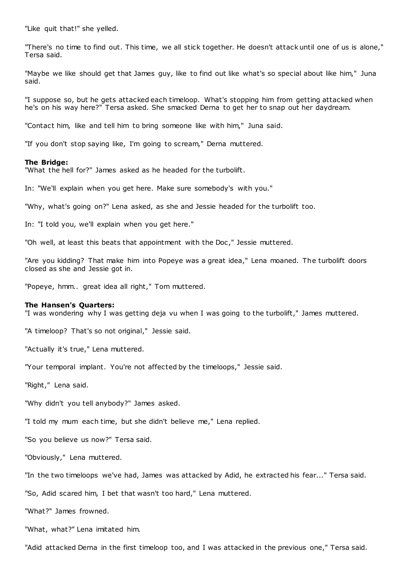"Like quit that!" she yelled.

"There's no time to find out. This time, we all stick together. He doesn't attack until one of us is alone," Tersa said.

"Maybe we like should get that James guy, like to find out like what's so special about like him," Juna said.

"I suppose so, but he gets attacked each timeloop. What's stopping him from getting attacked when he's on his way here?" Tersa asked. She smacked Derna to get her to snap out her daydream.

"Contact him, like and tell him to bring someone like with him," Juna said.

"If you don't stop saying like, I'm going to scream," Derna muttered.

# **The Bridge:**

"What the hell for?" James asked as he headed for the turbolift.

In: "We'll explain when you get here. Make sure somebody's with you."

"Why, what's going on?" Lena asked, as she and Jessie headed for the turbolift too.

In: "I told you, we'll explain when you get here."

"Oh well, at least this beats that appointment with the Doc ," Jessie muttered.

"Are you kidding? That make him into Popeye was a great idea," Lena moaned. The turbolift doors closed as she and Jessie got in.

"Popeye, hmm.. great idea all right," Tom muttered.

## **The Hansen's Quarters:**

"I was wondering why I was getting deja vu when I was going to the turbolift," James muttered.

"A timeloop? That's so not original," Jessie said.

"Actually it's true," Lena muttered.

"Your temporal implant. You're not affected by the timeloops," Jessie said.

"Right," Lena said.

"Why didn't you tell anybody?" James asked.

"I told my mum each time, but she didn't believe me," Lena replied.

"So you believe us now?" Tersa said.

"Obviously," Lena muttered.

"In the two timeloops we've had, James was attacked by Adid, he extracted his fear..." Tersa said.

"So, Adid scared him, I bet that wasn't too hard," Lena muttered.

"What?" James frowned.

"What, what?" Lena imitated him.

"Adid attacked Derna in the first timeloop too, and I was attacked in the previous one," Tersa said.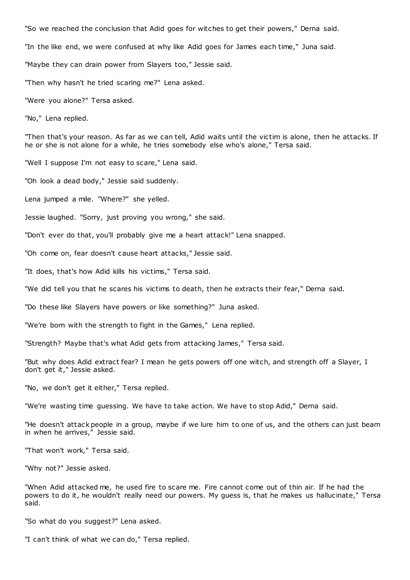"So we reached the conclusion that Adid goes for witches to get their powers," Derna said. "In the like end, we were confused at why like Adid goes for James each time," Juna said. "Maybe they can drain power from Slayers too," Jessie said. "Then why hasn't he tried scaring me?" Lena asked. "Were you alone?" Tersa asked.

"No," Lena replied.

"Then that's your reason. As far as we can tell, Adid waits until the victim is alone, then he attacks. If he or she is not alone for a while, he tries somebody else who's alone," Tersa said.

"Well I suppose I'm not easy to scare," Lena said.

"Oh look a dead body," Jessie said suddenly.

Lena jumped a mile. "Where?" she yelled.

Jessie laughed. "Sorry, just proving you wrong," she said.

"Don't ever do that, you'll probably give me a heart attack!" Lena snapped.

"Oh come on, fear doesn't cause heart attacks," Jessie said.

"It does, that's how Adid kills his victims," Tersa said.

"We did tell you that he scares his victims to death, then he extracts their fear," Derna said.

"Do these like Slayers have powers or like something?" Juna asked.

"We're born with the strength to fight in the Games," Lena replied.

"Strength? Maybe that's what Adid gets from attacking James," Tersa said.

"But why does Adid extract fear? I mean he gets powers off one witch, and strength off a Slayer, I don't get it," Jessie asked.

"No, we don't get it either," Tersa replied.

"We're wasting time guessing. We have to take action. We have to stop Adid," Derna said.

"He doesn't attack people in a group, maybe if we lure him to one of us, and the others can just beam in when he arrives," Jessie said.

"That won't work," Tersa said.

"Why not?" Jessie asked.

"When Adid attacked me, he used fire to scare me. Fire cannot come out of thin air. If he had the powers to do it, he wouldn't really need our powers. My guess is, that he makes us hallucinate," Tersa said.

"So what do you suggest?" Lena asked.

"I can't think of what we can do," Tersa replied.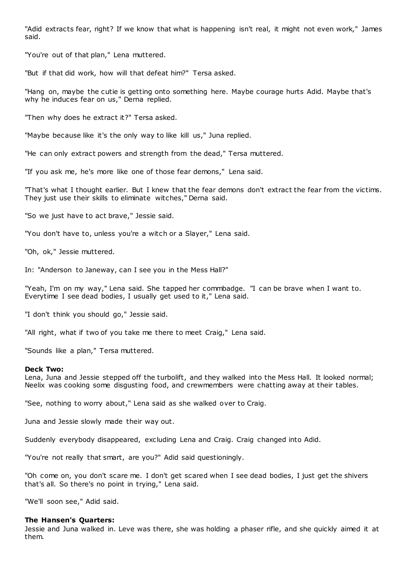"Adid extracts fear, right? If we know that what is happening isn't real, it might not even work," James said.

"You're out of that plan," Lena muttered.

"But if that did work, how will that defeat him?" Tersa asked.

"Hang on, maybe the cutie is getting onto something here. Maybe courage hurts Adid. Maybe that's why he induces fear on us," Derna replied.

"Then why does he extract it?" Tersa asked.

"Maybe because like it's the only way to like kill us," Juna replied.

"He can only extract powers and strength from the dead," Tersa muttered.

"If you ask me, he's more like one of those fear demons," Lena said.

"That's what I thought earlier. But I knew that the fear demons don't extract the fear from the victims. They just use their skills to eliminate witches," Derna said.

"So we just have to act brave," Jessie said.

"You don't have to, unless you're a witch or a Slayer," Lena said.

"Oh, ok," Jessie muttered.

In: "Anderson to Janeway, can I see you in the Mess Hall?"

"Yeah, I'm on my way," Lena said. She tapped her commbadge. "I can be brave when I want to. Everytime I see dead bodies, I usually get used to it," Lena said.

"I don't think you should go," Jessie said.

"All right, what if two of you take me there to meet Craig," Lena said.

"Sounds like a plan," Tersa muttered.

## **Deck Two:**

Lena, Juna and Jessie stepped off the turbolift, and they walked into the Mess Hall. It looked normal; Neelix was cooking some disgusting food, and crewmembers were chatting away at their tables.

"See, nothing to worry about," Lena said as she walked over to Craig.

Juna and Jessie slowly made their way out.

Suddenly everybody disappeared, excluding Lena and Craig. Craig changed into Adid.

"You're not really that smart, are you?" Adid said questioningly.

"Oh come on, you don't scare me. I don't get scared when I see dead bodies, I just get the shivers that's all. So there's no point in trying," Lena said.

"We'll soon see," Adid said.

## **The Hansen's Quarters:**

Jessie and Juna walked in. Leve was there, she was holding a phaser rifle, and she quickly aimed it at them.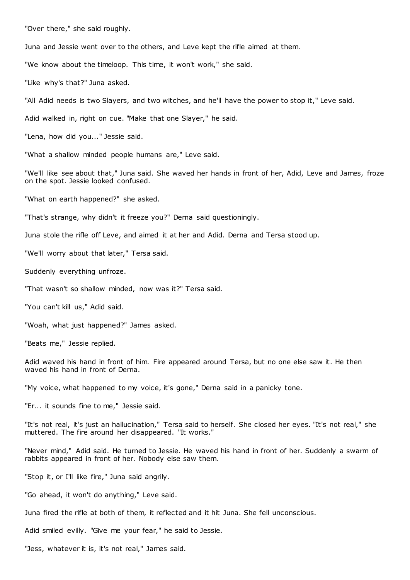"Over there," she said roughly.

Juna and Jessie went over to the others, and Leve kept the rifle aimed at them.

"We know about the timeloop. This time, it won't work," she said.

"Like why's that?" Juna asked.

"All Adid needs is two Slayers, and two witches, and he'll have the power to stop it," Leve said.

Adid walked in, right on cue. "Make that one Slayer," he said.

"Lena, how did you..." Jessie said.

"What a shallow minded people humans are," Leve said.

"We'll like see about that," Juna said. She waved her hands in front of her, Adid, Leve and James, froze on the spot. Jessie looked confused.

"What on earth happened?" she asked.

"That's strange, why didn't it freeze you?" Derna said questioningly.

Juna stole the rifle off Leve, and aimed it at her and Adid. Derna and Tersa stood up.

"We'll worry about that later," Tersa said.

Suddenly everything unfroze.

"That wasn't so shallow minded, now was it?" Tersa said.

"You can't kill us," Adid said.

"Woah, what just happened?" James asked.

"Beats me," Jessie replied.

Adid waved his hand in front of him. Fire appeared around Tersa, but no one else saw it. He then waved his hand in front of Derna.

"My voice, what happened to my voice, it's gone," Derna said in a panicky tone.

"Er... it sounds fine to me," Jessie said.

"It's not real, it's just an hallucination," Tersa said to herself. She closed her eyes. "It's not real," she muttered. The fire around her disappeared. "It works."

"Never mind," Adid said. He turned to Jessie. He waved his hand in front of her. Suddenly a swarm of rabbits appeared in front of her. Nobody else saw them.

"Stop it, or I'll like fire," Juna said angrily.

"Go ahead, it won't do anything," Leve said.

Juna fired the rifle at both of them, it reflected and it hit Juna. She fell unconscious.

Adid smiled evilly. "Give me your fear," he said to Jessie.

"Jess, whatever it is, it's not real," James said.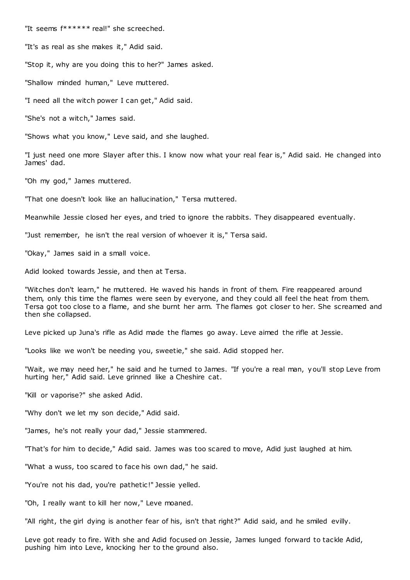"It seems f\*\*\*\*\*\* real!" she screeched.

"It's as real as she makes it," Adid said.

"Stop it, why are you doing this to her?" James asked.

"Shallow minded human," Leve muttered.

"I need all the witch power I can get," Adid said.

"She's not a witch," James said.

"Shows what you know," Leve said, and she laughed.

"I just need one more Slayer after this. I know now what your real fear is," Adid said. He changed into James' dad.

"Oh my god," James muttered.

"That one doesn't look like an hallucination," Tersa muttered.

Meanwhile Jessie closed her eyes, and tried to ignore the rabbits. They disappeared eventually.

"Just remember, he isn't the real version of whoever it is," Tersa said.

"Okay," James said in a small voice.

Adid looked towards Jessie, and then at Tersa.

"Witches don't learn," he muttered. He waved his hands in front of them. Fire reappeared around them, only this time the flames were seen by everyone, and they could all feel the heat from them. Tersa got too close to a flame, and she burnt her arm. The flames got closer to her. She screamed and then she collapsed.

Leve picked up Juna's rifle as Adid made the flames go away. Leve aimed the rifle at Jessie.

"Looks like we won't be needing you, sweetie," she said. Adid stopped her.

"Wait, we may need her," he said and he turned to James. "If you're a real man, you'll stop Leve from hurting her," Adid said. Leve grinned like a Cheshire cat.

"Kill or vaporise?" she asked Adid.

"Why don't we let my son decide," Adid said.

"James, he's not really your dad," Jessie stammered.

"That's for him to decide," Adid said. James was too scared to move, Adid just laughed at him.

"What a wuss, too scared to face his own dad," he said.

"You're not his dad, you're pathetic!" Jessie yelled.

"Oh, I really want to kill her now," Leve moaned.

"All right, the girl dying is another fear of his, isn't that right?" Adid said, and he smiled evilly.

Leve got ready to fire. With she and Adid focused on Jessie, James lunged forward to tackle Adid, pushing him into Leve, knocking her to the ground also.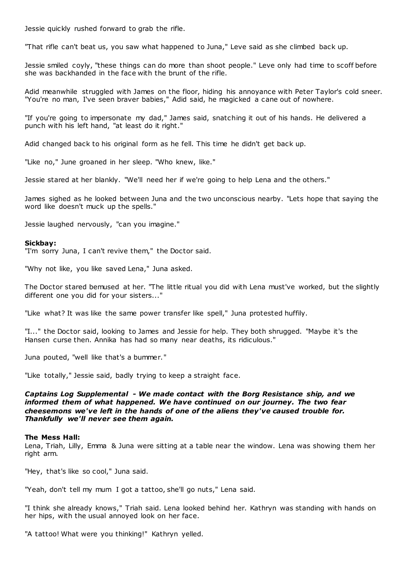Jessie quickly rushed forward to grab the rifle.

"That rifle can't beat us, you saw what happened to Juna," Leve said as she climbed back up.

Jessie smiled coyly, "these things can do more than shoot people." Leve only had time to scoff before she was backhanded in the face with the brunt of the rifle.

Adid meanwhile struggled with James on the floor, hiding his annoyance with Peter Taylor's cold sneer. "You're no man, I've seen braver babies," Adid said, he magicked a cane out of nowhere.

"If you're going to impersonate my dad," James said, snatching it out of his hands. He delivered a punch with his left hand, "at least do it right."

Adid changed back to his original form as he fell. This time he didn't get back up.

"Like no," June groaned in her sleep. "Who knew, like."

Jessie stared at her blankly. "We'll need her if we're going to help Lena and the others."

James sighed as he looked between Juna and the two unconscious nearby. "Lets hope that saying the word like doesn't muck up the spells."

Jessie laughed nervously, "can you imagine."

#### **Sickbay:**

"I'm sorry Juna, I can't revive them," the Doctor said.

"Why not like, you like saved Lena," Juna asked.

The Doctor stared bemused at her. "The little ritual you did with Lena must've worked, but the slightly different one you did for your sisters..."

"Like what? It was like the same power transfer like spell," Juna protested huffily.

"I..." the Doctor said, looking to James and Jessie for help. They both shrugged. "Maybe it's the Hansen curse then. Annika has had so many near deaths, its ridiculous."

Juna pouted, "well like that's a bummer."

"Like totally," Jessie said, badly trying to keep a straight face.

# *Captains Log Supplemental - We made contact with the Borg Resistance ship, and we informed them of what happened. We have continued on our journey. The two fear cheesemons we've left in the hands of one of the aliens they've caused trouble for. Thankfully we'll never see them again.*

#### **The Mess Hall:**

Lena, Triah, Lilly, Emma & Juna were sitting at a table near the window. Lena was showing them her right arm.

"Hey, that's like so cool," Juna said.

"Yeah, don't tell my mum I got a tattoo, she'll go nuts," Lena said.

"I think she already knows," Triah said. Lena looked behind her. Kathryn was standing with hands on her hips, with the usual annoyed look on her face.

"A tattoo! What were you thinking!" Kathryn yelled.